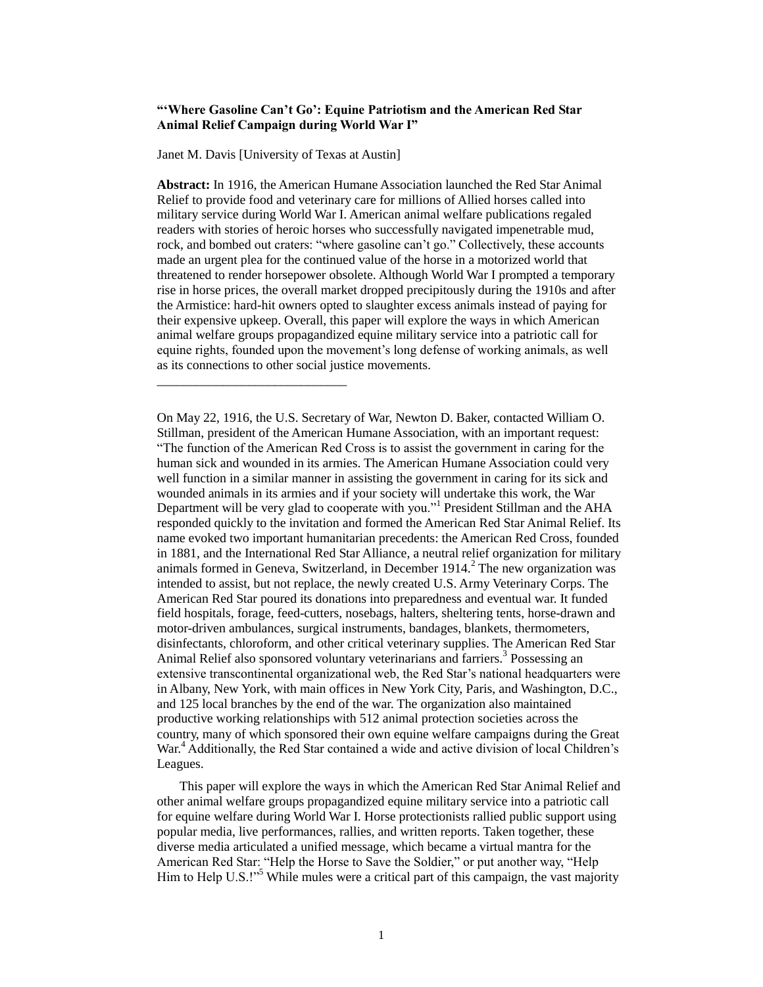# **"'Where Gasoline Can't Go': Equine Patriotism and the American Red Star Animal Relief Campaign during World War I"**

Janet M. Davis [University of Texas at Austin]

\_\_\_\_\_\_\_\_\_\_\_\_\_\_\_\_\_\_\_\_\_\_\_\_\_\_\_\_\_

**Abstract:** In 1916, the American Humane Association launched the Red Star Animal Relief to provide food and veterinary care for millions of Allied horses called into military service during World War I. American animal welfare publications regaled readers with stories of heroic horses who successfully navigated impenetrable mud, rock, and bombed out craters: "where gasoline can't go." Collectively, these accounts made an urgent plea for the continued value of the horse in a motorized world that threatened to render horsepower obsolete. Although World War I prompted a temporary rise in horse prices, the overall market dropped precipitously during the 1910s and after the Armistice: hard-hit owners opted to slaughter excess animals instead of paying for their expensive upkeep. Overall, this paper will explore the ways in which American animal welfare groups propagandized equine military service into a patriotic call for equine rights, founded upon the movement's long defense of working animals, as well as its connections to other social justice movements.

 This paper will explore the ways in which the American Red Star Animal Relief and other animal welfare groups propagandized equine military service into a patriotic call for equine welfare during World War I. Horse protectionists rallied public support using popular media, live performances, rallies, and written reports. Taken together, these diverse media articulated a unified message, which became a virtual mantra for the American Red Star: "Help the Horse to Save the Soldier," or put another way, "Help Him to Help U.S.!"<sup>5</sup> While mules were a critical part of this campaign, the vast majority

On May 22, 1916, the U.S. Secretary of War, Newton D. Baker, contacted William O. Stillman, president of the American Humane Association, with an important request: "The function of the American Red Cross is to assist the government in caring for the human sick and wounded in its armies. The American Humane Association could very well function in a similar manner in assisting the government in caring for its sick and wounded animals in its armies and if your society will undertake this work, the War Department will be very glad to cooperate with you."<sup>1</sup> President Stillman and the AHA responded quickly to the invitation and formed the American Red Star Animal Relief. Its name evoked two important humanitarian precedents: the American Red Cross, founded in 1881, and the International Red Star Alliance, a neutral relief organization for military animals formed in Geneva, Switzerland, in December  $1914<sup>2</sup>$  The new organization was intended to assist, but not replace, the newly created U.S. Army Veterinary Corps. The American Red Star poured its donations into preparedness and eventual war. It funded field hospitals, forage, feed-cutters, nosebags, halters, sheltering tents, horse-drawn and motor-driven ambulances, surgical instruments, bandages, blankets, thermometers, disinfectants, chloroform, and other critical veterinary supplies. The American Red Star Animal Relief also sponsored voluntary veterinarians and farriers.<sup>3</sup> Possessing an extensive transcontinental organizational web, the Red Star's national headquarters were in Albany, New York, with main offices in New York City, Paris, and Washington, D.C., and 125 local branches by the end of the war. The organization also maintained productive working relationships with 512 animal protection societies across the country, many of which sponsored their own equine welfare campaigns during the Great War.<sup>4</sup> Additionally, the Red Star contained a wide and active division of local Children's Leagues.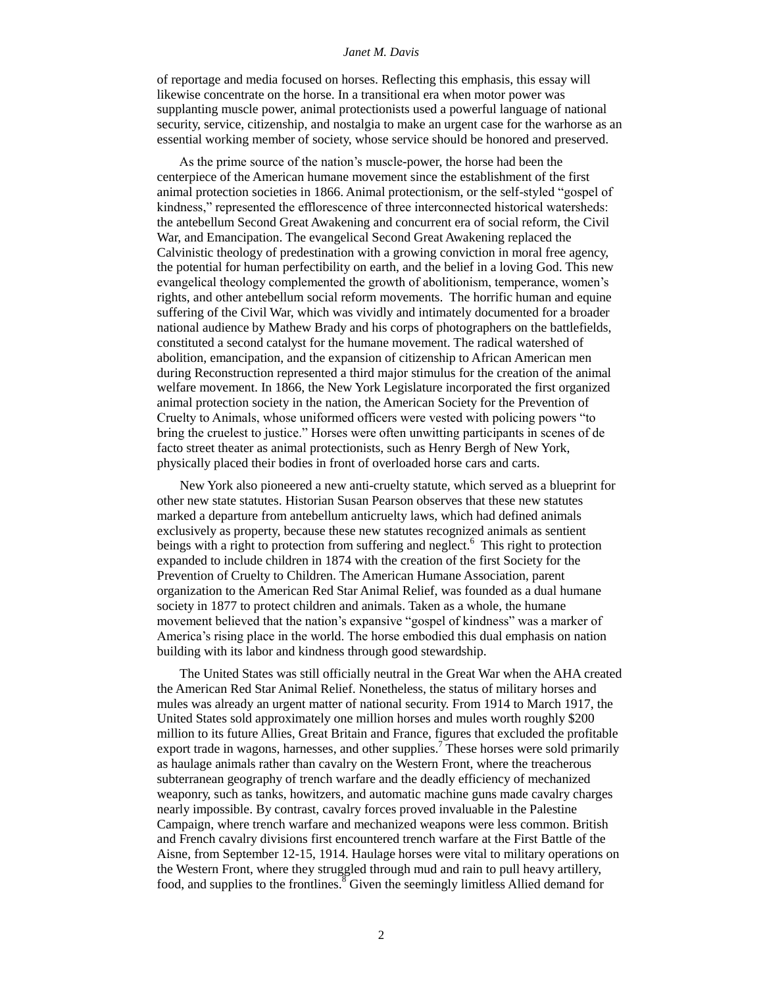of reportage and media focused on horses. Reflecting this emphasis, this essay will likewise concentrate on the horse. In a transitional era when motor power was supplanting muscle power, animal protectionists used a powerful language of national security, service, citizenship, and nostalgia to make an urgent case for the warhorse as an essential working member of society, whose service should be honored and preserved.

 As the prime source of the nation's muscle-power, the horse had been the centerpiece of the American humane movement since the establishment of the first animal protection societies in 1866. Animal protectionism, or the self-styled "gospel of kindness," represented the efflorescence of three interconnected historical watersheds: the antebellum Second Great Awakening and concurrent era of social reform, the Civil War, and Emancipation. The evangelical Second Great Awakening replaced the Calvinistic theology of predestination with a growing conviction in moral free agency, the potential for human perfectibility on earth, and the belief in a loving God. This new evangelical theology complemented the growth of abolitionism, temperance, women's rights, and other antebellum social reform movements. The horrific human and equine suffering of the Civil War, which was vividly and intimately documented for a broader national audience by Mathew Brady and his corps of photographers on the battlefields, constituted a second catalyst for the humane movement. The radical watershed of abolition, emancipation, and the expansion of citizenship to African American men during Reconstruction represented a third major stimulus for the creation of the animal welfare movement. In 1866, the New York Legislature incorporated the first organized animal protection society in the nation, the American Society for the Prevention of Cruelty to Animals, whose uniformed officers were vested with policing powers "to bring the cruelest to justice." Horses were often unwitting participants in scenes of de facto street theater as animal protectionists, such as Henry Bergh of New York, physically placed their bodies in front of overloaded horse cars and carts.

 New York also pioneered a new anti-cruelty statute, which served as a blueprint for other new state statutes. Historian Susan Pearson observes that these new statutes marked a departure from antebellum anticruelty laws, which had defined animals exclusively as property, because these new statutes recognized animals as sentient beings with a right to protection from suffering and neglect.<sup>6</sup> This right to protection expanded to include children in 1874 with the creation of the first Society for the Prevention of Cruelty to Children. The American Humane Association, parent organization to the American Red Star Animal Relief, was founded as a dual humane society in 1877 to protect children and animals. Taken as a whole, the humane movement believed that the nation's expansive "gospel of kindness" was a marker of America's rising place in the world. The horse embodied this dual emphasis on nation building with its labor and kindness through good stewardship.

 The United States was still officially neutral in the Great War when the AHA created the American Red Star Animal Relief. Nonetheless, the status of military horses and mules was already an urgent matter of national security. From 1914 to March 1917, the United States sold approximately one million horses and mules worth roughly \$200 million to its future Allies, Great Britain and France, figures that excluded the profitable export trade in wagons, harnesses, and other supplies.<sup>7</sup> These horses were sold primarily as haulage animals rather than cavalry on the Western Front, where the treacherous subterranean geography of trench warfare and the deadly efficiency of mechanized weaponry, such as tanks, howitzers, and automatic machine guns made cavalry charges nearly impossible. By contrast, cavalry forces proved invaluable in the Palestine Campaign, where trench warfare and mechanized weapons were less common. British and French cavalry divisions first encountered trench warfare at the First Battle of the Aisne, from September 12-15, 1914. Haulage horses were vital to military operations on the Western Front, where they struggled through mud and rain to pull heavy artillery, food, and supplies to the frontlines.<sup>8</sup> Given the seemingly limitless Allied demand for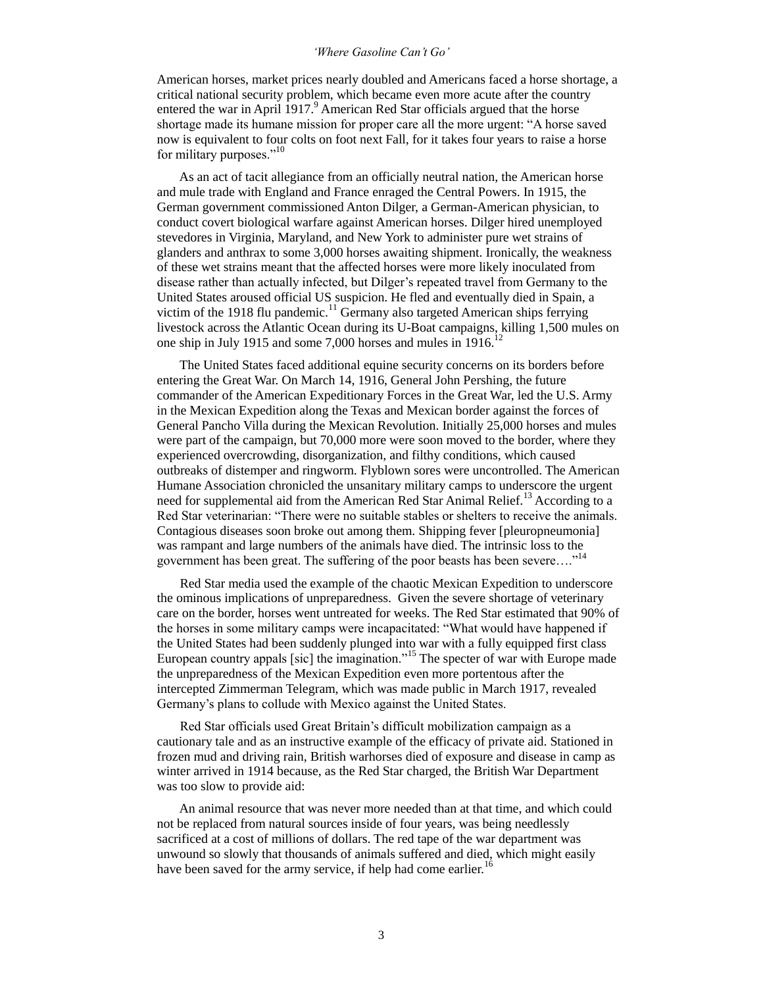## *'Where Gasoline Can't Go'*

American horses, market prices nearly doubled and Americans faced a horse shortage, a critical national security problem, which became even more acute after the country entered the war in April  $1917<sup>9</sup>$  American Red Star officials argued that the horse shortage made its humane mission for proper care all the more urgent: "A horse saved now is equivalent to four colts on foot next Fall, for it takes four years to raise a horse for military purposes."<sup>10</sup>

 As an act of tacit allegiance from an officially neutral nation, the American horse and mule trade with England and France enraged the Central Powers. In 1915, the German government commissioned Anton Dilger, a German-American physician, to conduct covert biological warfare against American horses. Dilger hired unemployed stevedores in Virginia, Maryland, and New York to administer pure wet strains of glanders and anthrax to some 3,000 horses awaiting shipment. Ironically, the weakness of these wet strains meant that the affected horses were more likely inoculated from disease rather than actually infected, but Dilger's repeated travel from Germany to the United States aroused official US suspicion. He fled and eventually died in Spain, a victim of the 1918 flu pandemic.<sup>11</sup> Germany also targeted American ships ferrying livestock across the Atlantic Ocean during its U-Boat campaigns, killing 1,500 mules on one ship in July 1915 and some 7,000 horses and mules in 1916.<sup>12</sup>

 The United States faced additional equine security concerns on its borders before entering the Great War. On March 14, 1916, General John Pershing, the future commander of the American Expeditionary Forces in the Great War, led the U.S. Army in the Mexican Expedition along the Texas and Mexican border against the forces of General Pancho Villa during the Mexican Revolution. Initially 25,000 horses and mules were part of the campaign, but 70,000 more were soon moved to the border, where they experienced overcrowding, disorganization, and filthy conditions, which caused outbreaks of distemper and ringworm. Flyblown sores were uncontrolled. The American Humane Association chronicled the unsanitary military camps to underscore the urgent need for supplemental aid from the American Red Star Animal Relief.<sup>13</sup> According to a Red Star veterinarian: "There were no suitable stables or shelters to receive the animals. Contagious diseases soon broke out among them. Shipping fever [pleuropneumonia] was rampant and large numbers of the animals have died. The intrinsic loss to the government has been great. The suffering of the poor beasts has been severe...."<sup>14</sup>

 Red Star media used the example of the chaotic Mexican Expedition to underscore the ominous implications of unpreparedness. Given the severe shortage of veterinary care on the border, horses went untreated for weeks. The Red Star estimated that 90% of the horses in some military camps were incapacitated: "What would have happened if the United States had been suddenly plunged into war with a fully equipped first class European country appals [sic] the imagination."<sup>15</sup> The specter of war with Europe made the unpreparedness of the Mexican Expedition even more portentous after the intercepted Zimmerman Telegram, which was made public in March 1917, revealed Germany's plans to collude with Mexico against the United States.

 Red Star officials used Great Britain's difficult mobilization campaign as a cautionary tale and as an instructive example of the efficacy of private aid. Stationed in frozen mud and driving rain, British warhorses died of exposure and disease in camp as winter arrived in 1914 because, as the Red Star charged, the British War Department was too slow to provide aid:

 An animal resource that was never more needed than at that time, and which could not be replaced from natural sources inside of four years, was being needlessly sacrificed at a cost of millions of dollars. The red tape of the war department was unwound so slowly that thousands of animals suffered and died, which might easily have been saved for the army service, if help had come earlier.<sup>16</sup>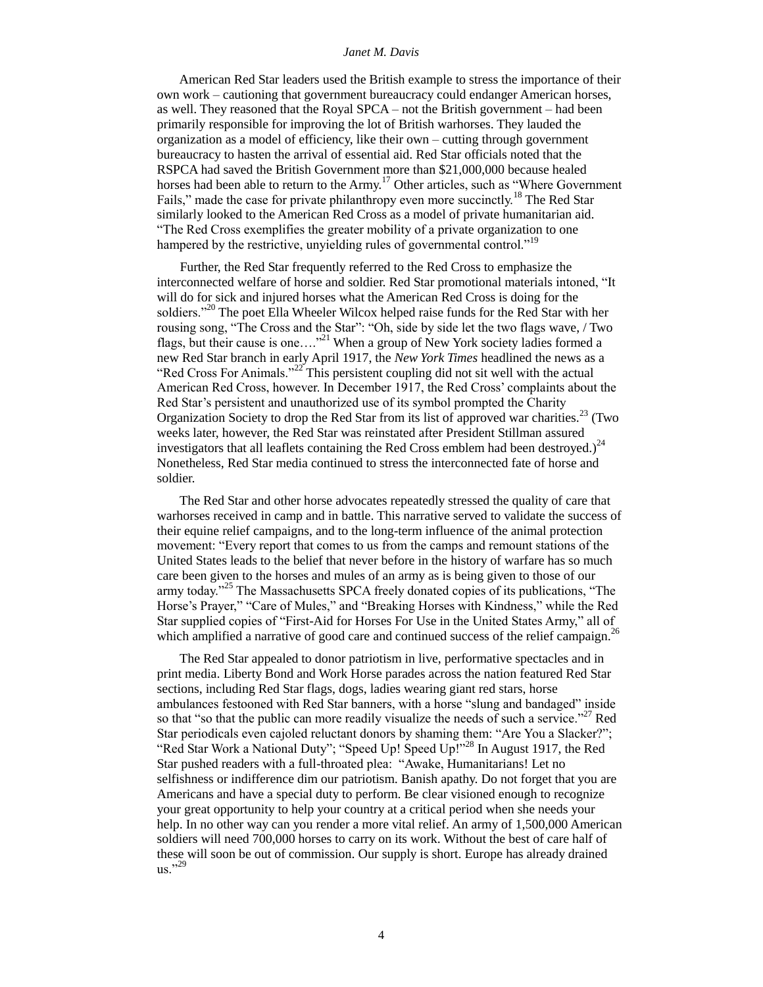American Red Star leaders used the British example to stress the importance of their own work – cautioning that government bureaucracy could endanger American horses, as well. They reasoned that the Royal SPCA – not the British government – had been primarily responsible for improving the lot of British warhorses. They lauded the organization as a model of efficiency, like their own – cutting through government bureaucracy to hasten the arrival of essential aid. Red Star officials noted that the RSPCA had saved the British Government more than \$21,000,000 because healed horses had been able to return to the Army.<sup>17</sup> Other articles, such as "Where Government" Fails," made the case for private philanthropy even more succinctly.<sup>18</sup> The Red Star similarly looked to the American Red Cross as a model of private humanitarian aid. "The Red Cross exemplifies the greater mobility of a private organization to one hampered by the restrictive, unyielding rules of governmental control."<sup>19</sup>

 Further, the Red Star frequently referred to the Red Cross to emphasize the interconnected welfare of horse and soldier. Red Star promotional materials intoned, "It will do for sick and injured horses what the American Red Cross is doing for the soldiers."<sup>20</sup> The poet Ella Wheeler Wilcox helped raise funds for the Red Star with her rousing song, "The Cross and the Star": "Oh, side by side let the two flags wave, / Two flags, but their cause is one...."<sup>21</sup> When a group of New York society ladies formed a new Red Star branch in early April 1917, the *New York Times* headlined the news as a "Red Cross For Animals."<sup>22</sup> This persistent coupling did not sit well with the actual American Red Cross, however. In December 1917, the Red Cross' complaints about the Red Star's persistent and unauthorized use of its symbol prompted the Charity Organization Society to drop the Red Star from its list of approved war charities.<sup>23</sup> (Two weeks later, however, the Red Star was reinstated after President Stillman assured investigators that all leaflets containing the Red Cross emblem had been destroyed.)<sup>24</sup> Nonetheless, Red Star media continued to stress the interconnected fate of horse and soldier.

 The Red Star and other horse advocates repeatedly stressed the quality of care that warhorses received in camp and in battle. This narrative served to validate the success of their equine relief campaigns, and to the long-term influence of the animal protection movement: "Every report that comes to us from the camps and remount stations of the United States leads to the belief that never before in the history of warfare has so much care been given to the horses and mules of an army as is being given to those of our army today."<sup>25</sup> The Massachusetts SPCA freely donated copies of its publications, "The Horse's Prayer," "Care of Mules," and "Breaking Horses with Kindness," while the Red Star supplied copies of "First-Aid for Horses For Use in the United States Army," all of which amplified a narrative of good care and continued success of the relief campaign.<sup>26</sup>

 The Red Star appealed to donor patriotism in live, performative spectacles and in print media. Liberty Bond and Work Horse parades across the nation featured Red Star sections, including Red Star flags, dogs, ladies wearing giant red stars, horse ambulances festooned with Red Star banners, with a horse "slung and bandaged" inside so that "so that the public can more readily visualize the needs of such a service."<sup>27</sup> Red Star periodicals even cajoled reluctant donors by shaming them: "Are You a Slacker?"; "Red Star Work a National Duty"; "Speed Up! Speed Up!"<sup>28</sup> In August 1917, the Red Star pushed readers with a full-throated plea: "Awake, Humanitarians! Let no selfishness or indifference dim our patriotism. Banish apathy. Do not forget that you are Americans and have a special duty to perform. Be clear visioned enough to recognize your great opportunity to help your country at a critical period when she needs your help. In no other way can you render a more vital relief. An army of 1,500,000 American soldiers will need 700,000 horses to carry on its work. Without the best of care half of these will soon be out of commission. Our supply is short. Europe has already drained us."29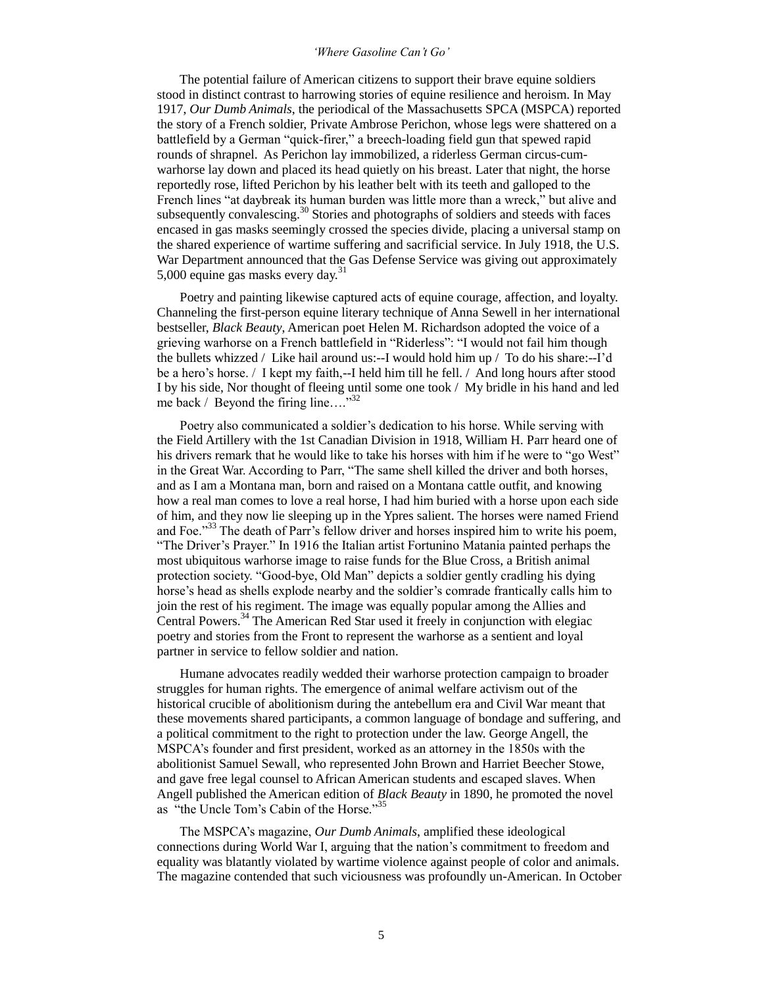## *'Where Gasoline Can't Go'*

 The potential failure of American citizens to support their brave equine soldiers stood in distinct contrast to harrowing stories of equine resilience and heroism. In May 1917, *Our Dumb Animals*, the periodical of the Massachusetts SPCA (MSPCA) reported the story of a French soldier, Private Ambrose Perichon, whose legs were shattered on a battlefield by a German "quick-firer," a breech-loading field gun that spewed rapid rounds of shrapnel. As Perichon lay immobilized, a riderless German circus-cumwarhorse lay down and placed its head quietly on his breast. Later that night, the horse reportedly rose, lifted Perichon by his leather belt with its teeth and galloped to the French lines "at daybreak its human burden was little more than a wreck," but alive and subsequently convalescing.<sup>30</sup> Stories and photographs of soldiers and steeds with faces encased in gas masks seemingly crossed the species divide, placing a universal stamp on the shared experience of wartime suffering and sacrificial service. In July 1918, the U.S. War Department announced that the Gas Defense Service was giving out approximately 5,000 equine gas masks every day. $31$ 

 Poetry and painting likewise captured acts of equine courage, affection, and loyalty. Channeling the first-person equine literary technique of Anna Sewell in her international bestseller, *Black Beauty*, American poet Helen M. Richardson adopted the voice of a grieving warhorse on a French battlefield in "Riderless": "I would not fail him though the bullets whizzed / Like hail around us:--I would hold him up / To do his share:--I'd be a hero's horse. / I kept my faith,--I held him till he fell. / And long hours after stood I by his side, Nor thought of fleeing until some one took / My bridle in his hand and led me back / Beyond the firing line...."<sup>32</sup>

 Poetry also communicated a soldier's dedication to his horse. While serving with the Field Artillery with the 1st Canadian Division in 1918, William H. Parr heard one of his drivers remark that he would like to take his horses with him if he were to "go West" in the Great War. According to Parr, "The same shell killed the driver and both horses, and as I am a Montana man, born and raised on a Montana cattle outfit, and knowing how a real man comes to love a real horse, I had him buried with a horse upon each side of him, and they now lie sleeping up in the Ypres salient. The horses were named Friend and Foe."<sup>33</sup> The death of Parr's fellow driver and horses inspired him to write his poem, "The Driver's Prayer." In 1916 the Italian artist Fortunino Matania painted perhaps the most ubiquitous warhorse image to raise funds for the Blue Cross, a British animal protection society. "Good-bye, Old Man" depicts a soldier gently cradling his dying horse's head as shells explode nearby and the soldier's comrade frantically calls him to join the rest of his regiment. The image was equally popular among the Allies and Central Powers.<sup>34</sup> The American Red Star used it freely in conjunction with elegiac poetry and stories from the Front to represent the warhorse as a sentient and loyal partner in service to fellow soldier and nation.

 Humane advocates readily wedded their warhorse protection campaign to broader struggles for human rights. The emergence of animal welfare activism out of the historical crucible of abolitionism during the antebellum era and Civil War meant that these movements shared participants, a common language of bondage and suffering, and a political commitment to the right to protection under the law. George Angell, the MSPCA's founder and first president, worked as an attorney in the 1850s with the abolitionist Samuel Sewall, who represented John Brown and Harriet Beecher Stowe, and gave free legal counsel to African American students and escaped slaves. When Angell published the American edition of *Black Beauty* in 1890, he promoted the novel as "the Uncle Tom's Cabin of the Horse."<sup>35</sup>

 The MSPCA's magazine, *Our Dumb Animals*, amplified these ideological connections during World War I, arguing that the nation's commitment to freedom and equality was blatantly violated by wartime violence against people of color and animals. The magazine contended that such viciousness was profoundly un-American. In October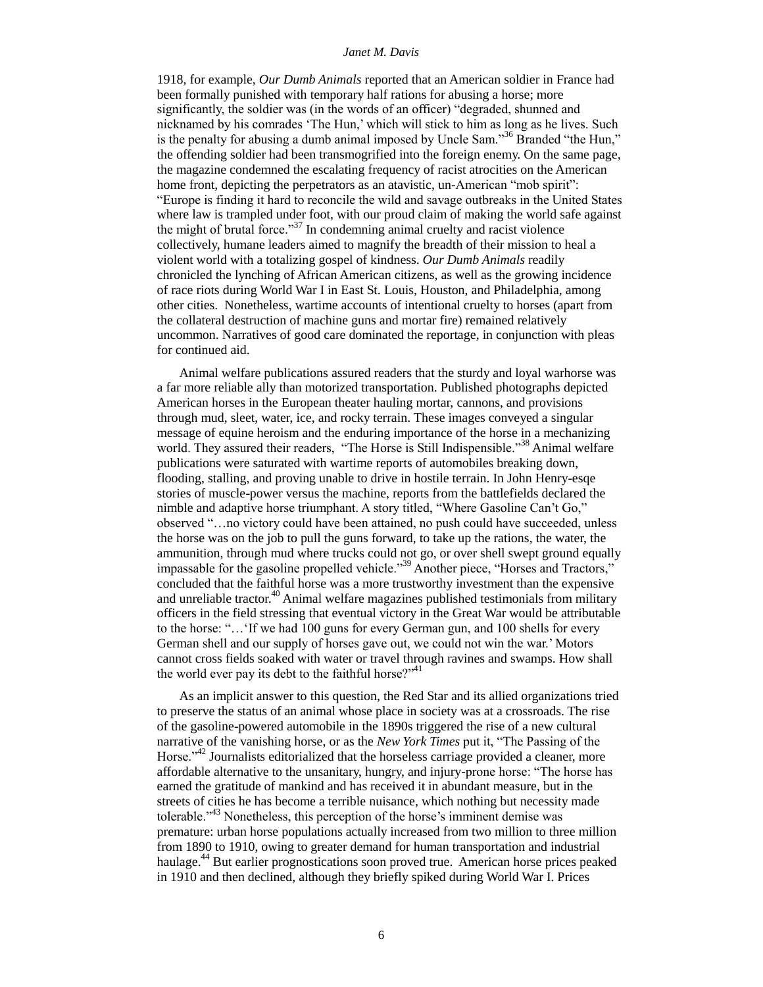1918, for example, *Our Dumb Animals* reported that an American soldier in France had been formally punished with temporary half rations for abusing a horse; more significantly, the soldier was (in the words of an officer) "degraded, shunned and nicknamed by his comrades 'The Hun,' which will stick to him as long as he lives. Such is the penalty for abusing a dumb animal imposed by Uncle Sam."<sup>36</sup> Branded "the Hun," the offending soldier had been transmogrified into the foreign enemy. On the same page, the magazine condemned the escalating frequency of racist atrocities on the American home front, depicting the perpetrators as an atavistic, un-American "mob spirit": "Europe is finding it hard to reconcile the wild and savage outbreaks in the United States where law is trampled under foot, with our proud claim of making the world safe against the might of brutal force." $37$  In condemning animal cruelty and racist violence collectively, humane leaders aimed to magnify the breadth of their mission to heal a violent world with a totalizing gospel of kindness. *Our Dumb Animals* readily chronicled the lynching of African American citizens, as well as the growing incidence of race riots during World War I in East St. Louis, Houston, and Philadelphia, among other cities. Nonetheless, wartime accounts of intentional cruelty to horses (apart from the collateral destruction of machine guns and mortar fire) remained relatively uncommon. Narratives of good care dominated the reportage, in conjunction with pleas for continued aid.

 Animal welfare publications assured readers that the sturdy and loyal warhorse was a far more reliable ally than motorized transportation. Published photographs depicted American horses in the European theater hauling mortar, cannons, and provisions through mud, sleet, water, ice, and rocky terrain. These images conveyed a singular message of equine heroism and the enduring importance of the horse in a mechanizing world. They assured their readers, "The Horse is Still Indispensible."<sup>38</sup> Animal welfare publications were saturated with wartime reports of automobiles breaking down, flooding, stalling, and proving unable to drive in hostile terrain. In John Henry-esqe stories of muscle-power versus the machine, reports from the battlefields declared the nimble and adaptive horse triumphant. A story titled, "Where Gasoline Can't Go," observed "…no victory could have been attained, no push could have succeeded, unless the horse was on the job to pull the guns forward, to take up the rations, the water, the ammunition, through mud where trucks could not go, or over shell swept ground equally impassable for the gasoline propelled vehicle."<sup>39</sup> Another piece, "Horses and Tractors," concluded that the faithful horse was a more trustworthy investment than the expensive and unreliable tractor.<sup>40</sup> Animal welfare magazines published testimonials from military officers in the field stressing that eventual victory in the Great War would be attributable to the horse: "…'If we had 100 guns for every German gun, and 100 shells for every German shell and our supply of horses gave out, we could not win the war.' Motors cannot cross fields soaked with water or travel through ravines and swamps. How shall the world ever pay its debt to the faithful horse?" $41$ 

 As an implicit answer to this question, the Red Star and its allied organizations tried to preserve the status of an animal whose place in society was at a crossroads. The rise of the gasoline-powered automobile in the 1890s triggered the rise of a new cultural narrative of the vanishing horse, or as the *New York Times* put it, "The Passing of the Horse."<sup>42</sup> Journalists editorialized that the horseless carriage provided a cleaner, more affordable alternative to the unsanitary, hungry, and injury-prone horse: "The horse has earned the gratitude of mankind and has received it in abundant measure, but in the streets of cities he has become a terrible nuisance, which nothing but necessity made tolerable."<sup>43</sup> Nonetheless, this perception of the horse's imminent demise was premature: urban horse populations actually increased from two million to three million from 1890 to 1910, owing to greater demand for human transportation and industrial haulage.<sup>44</sup> But earlier prognostications soon proved true. American horse prices peaked in 1910 and then declined, although they briefly spiked during World War I. Prices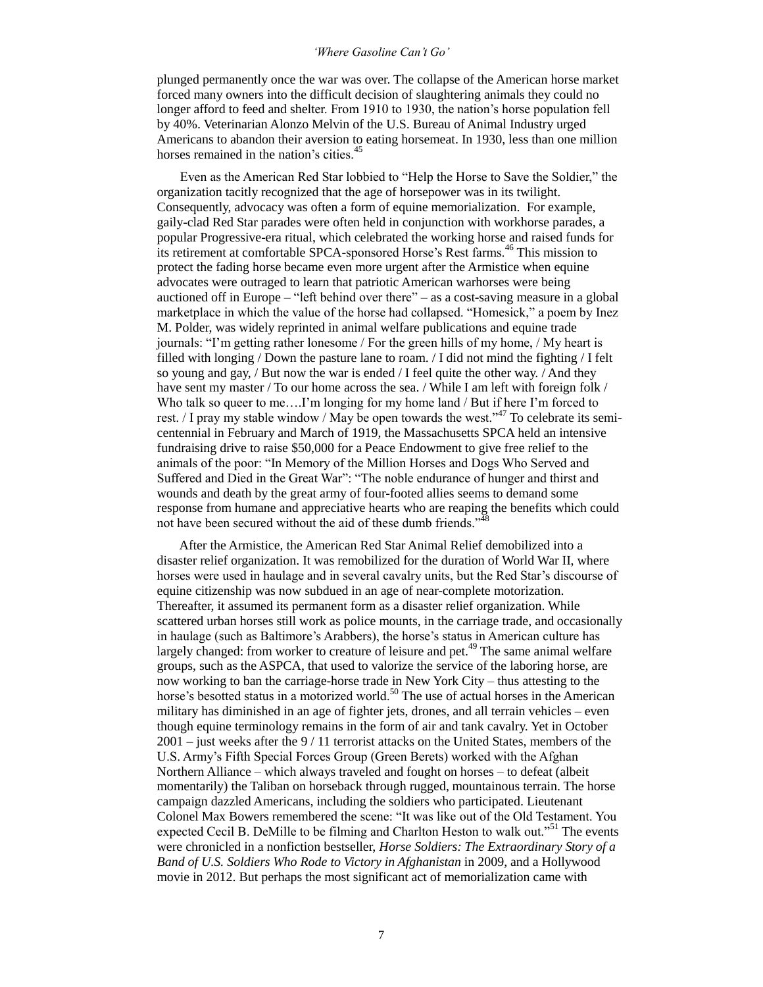## *'Where Gasoline Can't Go'*

plunged permanently once the war was over. The collapse of the American horse market forced many owners into the difficult decision of slaughtering animals they could no longer afford to feed and shelter. From 1910 to 1930, the nation's horse population fell by 40%. Veterinarian Alonzo Melvin of the U.S. Bureau of Animal Industry urged Americans to abandon their aversion to eating horsemeat. In 1930, less than one million horses remained in the nation's cities.<sup>45</sup>

 Even as the American Red Star lobbied to "Help the Horse to Save the Soldier," the organization tacitly recognized that the age of horsepower was in its twilight. Consequently, advocacy was often a form of equine memorialization. For example, gaily-clad Red Star parades were often held in conjunction with workhorse parades, a popular Progressive-era ritual, which celebrated the working horse and raised funds for its retirement at comfortable SPCA-sponsored Horse's Rest farms.<sup>46</sup> This mission to protect the fading horse became even more urgent after the Armistice when equine advocates were outraged to learn that patriotic American warhorses were being auctioned off in Europe – "left behind over there" – as a cost-saving measure in a global marketplace in which the value of the horse had collapsed. "Homesick," a poem by Inez M. Polder, was widely reprinted in animal welfare publications and equine trade journals: "I'm getting rather lonesome / For the green hills of my home, / My heart is filled with longing / Down the pasture lane to roam. / I did not mind the fighting / I felt so young and gay, / But now the war is ended / I feel quite the other way. / And they have sent my master / To our home across the sea. / While I am left with foreign folk / Who talk so queer to me....I'm longing for my home land / But if here I'm forced to rest. / I pray my stable window / May be open towards the west."<sup>47</sup> To celebrate its semicentennial in February and March of 1919, the Massachusetts SPCA held an intensive fundraising drive to raise \$50,000 for a Peace Endowment to give free relief to the animals of the poor: "In Memory of the Million Horses and Dogs Who Served and Suffered and Died in the Great War": "The noble endurance of hunger and thirst and wounds and death by the great army of four-footed allies seems to demand some response from humane and appreciative hearts who are reaping the benefits which could not have been secured without the aid of these dumb friends."<sup>48</sup>

 After the Armistice, the American Red Star Animal Relief demobilized into a disaster relief organization. It was remobilized for the duration of World War II, where horses were used in haulage and in several cavalry units, but the Red Star's discourse of equine citizenship was now subdued in an age of near-complete motorization. Thereafter, it assumed its permanent form as a disaster relief organization. While scattered urban horses still work as police mounts, in the carriage trade, and occasionally in haulage (such as Baltimore's Arabbers), the horse's status in American culture has largely changed: from worker to creature of leisure and pet.<sup>49</sup> The same animal welfare groups, such as the ASPCA, that used to valorize the service of the laboring horse, are now working to ban the carriage-horse trade in New York City – thus attesting to the horse's besotted status in a motorized world.<sup>50</sup> The use of actual horses in the American military has diminished in an age of fighter jets, drones, and all terrain vehicles – even though equine terminology remains in the form of air and tank cavalry. Yet in October 2001 – just weeks after the 9 / 11 terrorist attacks on the United States, members of the U.S. Army's Fifth Special Forces Group (Green Berets) worked with the Afghan Northern Alliance – which always traveled and fought on horses – to defeat (albeit momentarily) the Taliban on horseback through rugged, mountainous terrain. The horse campaign dazzled Americans, including the soldiers who participated. Lieutenant Colonel Max Bowers remembered the scene: "It was like out of the Old Testament. You expected Cecil B. DeMille to be filming and Charlton Heston to walk out."<sup>51</sup> The events were chronicled in a nonfiction bestseller, *Horse Soldiers: The Extraordinary Story of a Band of U.S. Soldiers Who Rode to Victory in Afghanistan* in 2009, and a Hollywood movie in 2012. But perhaps the most significant act of memorialization came with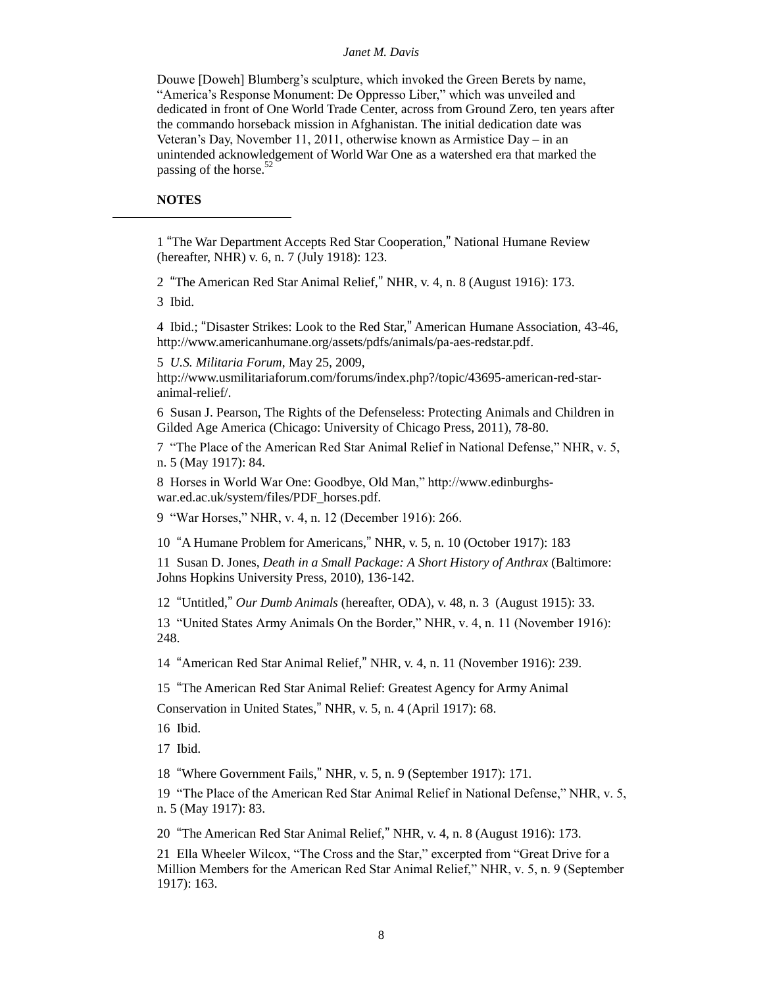Douwe [Doweh] Blumberg's sculpture, which invoked the Green Berets by name, "America's Response Monument: De Oppresso Liber," which was unveiled and dedicated in front of One World Trade Center, across from Ground Zero, ten years after the commando horseback mission in Afghanistan. The initial dedication date was Veteran's Day, November 11, 2011, otherwise known as Armistice Day – in an unintended acknowledgement of World War One as a watershed era that marked the passing of the horse. $52$ 

# **NOTES**

 $\overline{a}$ 

1 "The War Department Accepts Red Star Cooperation," National Humane Review (hereafter, NHR) v. 6, n. 7 (July 1918): 123.

2 "The American Red Star Animal Relief," NHR, v. 4, n. 8 (August 1916): 173.

3 Ibid.

4 Ibid.; "Disaster Strikes: Look to the Red Star," American Humane Association, 43-46, http://www.americanhumane.org/assets/pdfs/animals/pa-aes-redstar.pdf.

5 *U.S. Militaria Forum*, May 25, 2009,

http://www.usmilitariaforum.com/forums/index.php?/topic/43695-american-red-staranimal-relief/.

6 Susan J. Pearson, The Rights of the Defenseless: Protecting Animals and Children in Gilded Age America (Chicago: University of Chicago Press, 2011), 78-80.

7 "The Place of the American Red Star Animal Relief in National Defense," NHR, v. 5, n. 5 (May 1917): 84.

8 Horses in World War One: Goodbye, Old Man," http://www.edinburghswar.ed.ac.uk/system/files/PDF\_horses.pdf.

9 "War Horses," NHR, v. 4, n. 12 (December 1916): 266.

10 "A Humane Problem for Americans," NHR, v. 5, n. 10 (October 1917): 183

11 Susan D. Jones, *Death in a Small Package: A Short History of Anthrax* (Baltimore: Johns Hopkins University Press, 2010), 136-142.

12 "Untitled," *Our Dumb Animals* (hereafter, ODA), v. 48, n. 3 (August 1915): 33.

13 "United States Army Animals On the Border," NHR, v. 4, n. 11 (November 1916): 248.

14 "American Red Star Animal Relief," NHR, v. 4, n. 11 (November 1916): 239.

15 "The American Red Star Animal Relief: Greatest Agency for Army Animal Conservation in United States," NHR, v. 5, n. 4 (April 1917): 68.

16 Ibid.

17 Ibid.

18 "Where Government Fails," NHR, v. 5, n. 9 (September 1917): 171.

19 "The Place of the American Red Star Animal Relief in National Defense," NHR, v. 5, n. 5 (May 1917): 83.

20 "The American Red Star Animal Relief," NHR, v. 4, n. 8 (August 1916): 173.

21 Ella Wheeler Wilcox, "The Cross and the Star," excerpted from "Great Drive for a Million Members for the American Red Star Animal Relief," NHR, v. 5, n. 9 (September 1917): 163.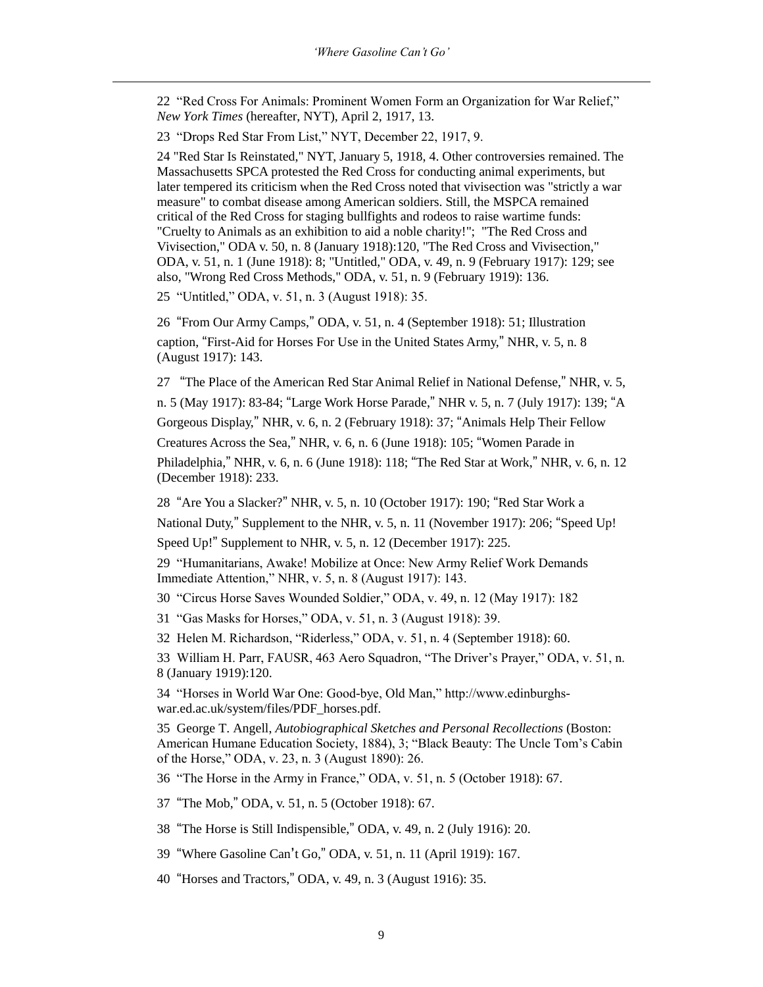22 "Red Cross For Animals: Prominent Women Form an Organization for War Relief," *New York Times* (hereafter, NYT), April 2, 1917, 13.

23 "Drops Red Star From List," NYT, December 22, 1917, 9.

 $\overline{a}$ 

24 "Red Star Is Reinstated," NYT, January 5, 1918, 4. Other controversies remained. The Massachusetts SPCA protested the Red Cross for conducting animal experiments, but later tempered its criticism when the Red Cross noted that vivisection was "strictly a war measure" to combat disease among American soldiers. Still, the MSPCA remained critical of the Red Cross for staging bullfights and rodeos to raise wartime funds: "Cruelty to Animals as an exhibition to aid a noble charity!"; "The Red Cross and Vivisection," ODA v. 50, n. 8 (January 1918):120, "The Red Cross and Vivisection," ODA, v. 51, n. 1 (June 1918): 8; "Untitled," ODA, v. 49, n. 9 (February 1917): 129; see also, "Wrong Red Cross Methods," ODA, v. 51, n. 9 (February 1919): 136.

25 "Untitled," ODA, v. 51, n. 3 (August 1918): 35.

26 "From Our Army Camps," ODA, v. 51, n. 4 (September 1918): 51; Illustration caption, "First-Aid for Horses For Use in the United States Army," NHR, v. 5, n. 8 (August 1917): 143.

27 "The Place of the American Red Star Animal Relief in National Defense," NHR, v. 5,

n. 5 (May 1917): 83-84; "Large Work Horse Parade," NHR v. 5, n. 7 (July 1917): 139; "A

Gorgeous Display," NHR, v. 6, n. 2 (February 1918): 37; "Animals Help Their Fellow

Creatures Across the Sea," NHR, v. 6, n. 6 (June 1918): 105; "Women Parade in

Philadelphia," NHR, v. 6, n. 6 (June 1918): 118; "The Red Star at Work," NHR, v. 6, n. 12 (December 1918): 233.

28 "Are You a Slacker?" NHR, v. 5, n. 10 (October 1917): 190; "Red Star Work a National Duty," Supplement to the NHR, v. 5, n. 11 (November 1917): 206; "Speed Up!

Speed Up!" Supplement to NHR, v. 5, n. 12 (December 1917): 225.

29 "Humanitarians, Awake! Mobilize at Once: New Army Relief Work Demands Immediate Attention," NHR, v. 5, n. 8 (August 1917): 143.

30 "Circus Horse Saves Wounded Soldier," ODA, v. 49, n. 12 (May 1917): 182

31 "Gas Masks for Horses," ODA, v. 51, n. 3 (August 1918): 39.

32 Helen M. Richardson, "Riderless," ODA, v. 51, n. 4 (September 1918): 60.

33 William H. Parr, FAUSR, 463 Aero Squadron, "The Driver's Prayer," ODA, v. 51, n. 8 (January 1919):120.

34 "Horses in World War One: Good-bye, Old Man," http://www.edinburghswar.ed.ac.uk/system/files/PDF\_horses.pdf.

35 George T. Angell, *Autobiographical Sketches and Personal Recollections* (Boston: American Humane Education Society, 1884), 3; "Black Beauty: The Uncle Tom's Cabin of the Horse," ODA, v. 23, n. 3 (August 1890): 26.

36 "The Horse in the Army in France," ODA, v. 51, n. 5 (October 1918): 67.

37 "The Mob," ODA, v. 51, n. 5 (October 1918): 67.

38 "The Horse is Still Indispensible," ODA, v. 49, n. 2 (July 1916): 20.

39 "Where Gasoline Can't Go," ODA, v. 51, n. 11 (April 1919): 167.

40 "Horses and Tractors," ODA, v. 49, n. 3 (August 1916): 35.